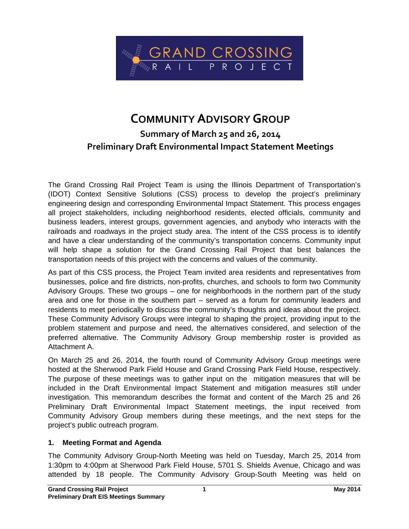

# **COMMUNITY ADVISORYGROUP Summary of March 25 and 26, 2014 Preliminary Draft Environmental Impact Statement Meetings**

The Grand Crossing Rail Project Team is using the Illinois Department of Transportation's (IDOT) Context Sensitive Solutions (CSS) process to develop the project's preliminary engineering design and corresponding Environmental Impact Statement. This process engages all project stakeholders, including neighborhood residents, elected officials, community and business leaders, interest groups, government agencies, and anybody who interacts with the railroads and roadways in the project study area. The intent of the CSS process is to identify and have a clear understanding of the community's transportation concerns. Community input will help shape a solution for the Grand Crossing Rail Project that best balances the transportation needs of this project with the concerns and values of the community.

As part of this CSS process, the Project Team invited area residents and representatives from businesses, police and fire districts, non-profits, churches, and schools to form two Community Advisory Groups. These two groups – one for neighborhoods in the northern part of the study area and one for those in the southern part – served as a forum for community leaders and residents to meet periodically to discuss the community's thoughts and ideas about the project. These Community Advisory Groups were integral to shaping the project, providing input to the problem statement and purpose and need, the alternatives considered, and selection of the preferred alternative. The Community Advisory Group membership roster is provided as Attachment A.

On March 25 and 26, 2014, the fourth round of Community Advisory Group meetings were hosted at the Sherwood Park Field House and Grand Crossing Park Field House, respectively. The purpose of these meetings was to gather input on the mitigation measures that will be included in the Draft Environmental Impact Statement and mitigation measures still under investigation. This memorandum describes the format and content of the March 25 and 26 Preliminary Draft Environmental Impact Statement meetings, the input received from Community Advisory Group members during these meetings, and the next steps for the project's public outreach program.

### **1. Meeting Format and Agenda**

The Community Advisory Group-North Meeting was held on Tuesday, March 25, 2014 from 1:30pm to 4:00pm at Sherwood Park Field House, 5701 S. Shields Avenue, Chicago and was attended by 18 people. The Community Advisory Group-South Meeting was held on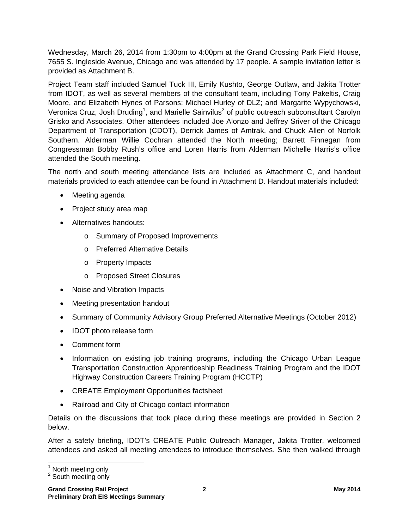Wednesday, March 26, 2014 from 1:30pm to 4:00pm at the Grand Crossing Park Field House, 7655 S. Ingleside Avenue, Chicago and was attended by 17 people. A sample invitation letter is provided as Attachment B.

Project Team staff included Samuel Tuck III, Emily Kushto, George Outlaw, and Jakita Trotter from IDOT, as well as several members of the consultant team, including Tony Pakeltis, Craig Moore, and Elizabeth Hynes of Parsons; Michael Hurley of DLZ; and Margarite Wypychowski, Veronica Cruz, Josh Druding<sup>1</sup>, and Marielle Sainvilus<sup>2</sup> of public outreach subconsultant Carolyn Grisko and Associates. Other attendees included Joe Alonzo and Jeffrey Sriver of the Chicago Department of Transportation (CDOT), Derrick James of Amtrak, and Chuck Allen of Norfolk Southern. Alderman Willie Cochran attended the North meeting; Barrett Finnegan from Congressman Bobby Rush's office and Loren Harris from Alderman Michelle Harris's office attended the South meeting.

The north and south meeting attendance lists are included as Attachment C, and handout materials provided to each attendee can be found in Attachment D. Handout materials included:

- Meeting agenda
- Project study area map
- Alternatives handouts:
	- o Summary of Proposed Improvements
	- o Preferred Alternative Details
	- o Property Impacts
	- o Proposed Street Closures
- Noise and Vibration Impacts
- Meeting presentation handout
- Summary of Community Advisory Group Preferred Alternative Meetings (October 2012)
- IDOT photo release form
- Comment form
- Information on existing job training programs, including the Chicago Urban League Transportation Construction Apprenticeship Readiness Training Program and the IDOT Highway Construction Careers Training Program (HCCTP)
- CREATE Employment Opportunities factsheet
- Railroad and City of Chicago contact information

Details on the discussions that took place during these meetings are provided in Section 2 below.

After a safety briefing, IDOT's CREATE Public Outreach Manager, Jakita Trotter, welcomed attendees and asked all meeting attendees to introduce themselves. She then walked through

<sup>1&</sup>lt;br><sup>1</sup> North meeting only

<sup>&</sup>lt;sup>2</sup> South meeting only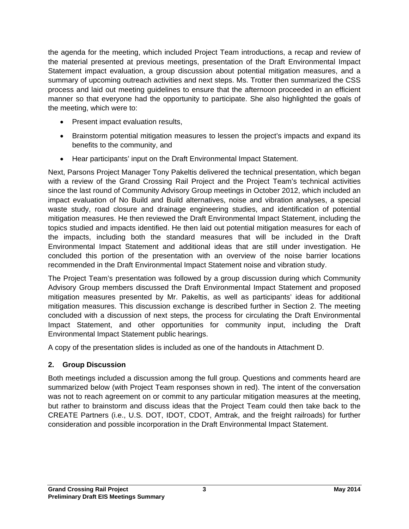the agenda for the meeting, which included Project Team introductions, a recap and review of the material presented at previous meetings, presentation of the Draft Environmental Impact Statement impact evaluation, a group discussion about potential mitigation measures, and a summary of upcoming outreach activities and next steps. Ms. Trotter then summarized the CSS process and laid out meeting guidelines to ensure that the afternoon proceeded in an efficient manner so that everyone had the opportunity to participate. She also highlighted the goals of the meeting, which were to:

- Present impact evaluation results,
- Brainstorm potential mitigation measures to lessen the project's impacts and expand its benefits to the community, and
- Hear participants' input on the Draft Environmental Impact Statement.

Next, Parsons Project Manager Tony Pakeltis delivered the technical presentation, which began with a review of the Grand Crossing Rail Project and the Project Team's technical activities since the last round of Community Advisory Group meetings in October 2012, which included an impact evaluation of No Build and Build alternatives, noise and vibration analyses, a special waste study, road closure and drainage engineering studies, and identification of potential mitigation measures. He then reviewed the Draft Environmental Impact Statement, including the topics studied and impacts identified. He then laid out potential mitigation measures for each of the impacts, including both the standard measures that will be included in the Draft Environmental Impact Statement and additional ideas that are still under investigation. He concluded this portion of the presentation with an overview of the noise barrier locations recommended in the Draft Environmental Impact Statement noise and vibration study.

The Project Team's presentation was followed by a group discussion during which Community Advisory Group members discussed the Draft Environmental Impact Statement and proposed mitigation measures presented by Mr. Pakeltis, as well as participants' ideas for additional mitigation measures. This discussion exchange is described further in Section 2. The meeting concluded with a discussion of next steps, the process for circulating the Draft Environmental Impact Statement, and other opportunities for community input, including the Draft Environmental Impact Statement public hearings.

A copy of the presentation slides is included as one of the handouts in Attachment D.

## **2. Group Discussion**

Both meetings included a discussion among the full group. Questions and comments heard are summarized below (with Project Team responses shown in red). The intent of the conversation was not to reach agreement on or commit to any particular mitigation measures at the meeting, but rather to brainstorm and discuss ideas that the Project Team could then take back to the CREATE Partners (i.e., U.S. DOT, IDOT, CDOT, Amtrak, and the freight railroads) for further consideration and possible incorporation in the Draft Environmental Impact Statement.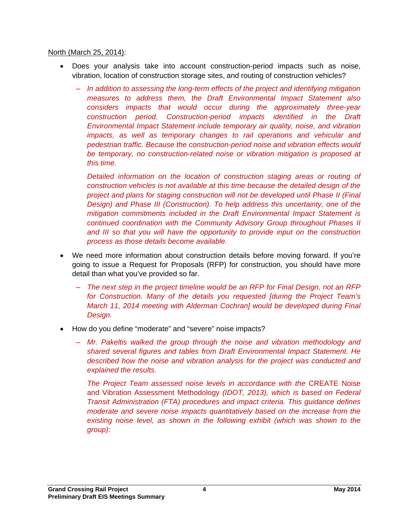#### North (March 25, 2014):

- Does your analysis take into account construction-period impacts such as noise, vibration, location of construction storage sites, and routing of construction vehicles?
	- ― *In addition to assessing the long-term effects of the project and identifying mitigation measures to address them, the Draft Environmental Impact Statement also considers impacts that would occur during the approximately three-year construction period. Construction-period impacts identified in the Draft Environmental Impact Statement include temporary air quality, noise, and vibration impacts, as well as temporary changes to rail operations and vehicular and pedestrian traffic. Because the construction-period noise and vibration effects would be temporary, no construction-related noise or vibration mitigation is proposed at this time.*

*Detailed information on the location of construction staging areas or routing of construction vehicles is not available at this time because the detailed design of the project and plans for staging construction will not be developed until Phase II (Final Design) and Phase III (Construction). To help address this uncertainty, one of the mitigation commitments included in the Draft Environmental Impact Statement is continued coordination with the Community Advisory Group throughout Phases II*  and III so that you will have the opportunity to provide input on the construction *process as those details become available.* 

- We need more information about construction details before moving forward. If you're going to issue a Request for Proposals (RFP) for construction, you should have more detail than what you've provided so far.
	- ― *The next step in the project timeline would be an RFP for Final Design, not an RFP for Construction. Many of the details you requested [during the Project Team's March 11, 2014 meeting with Alderman Cochran] would be developed during Final Design.*
- How do you define "moderate" and "severe" noise impacts?
	- ― *Mr. Pakeltis walked the group through the noise and vibration methodology and shared several figures and tables from Draft Environmental Impact Statement. He described how the noise and vibration analysis for the project was conducted and explained the results.*

*The Project Team assessed noise levels in accordance with the* CREATE Noise and Vibration Assessment Methodology *(IDOT, 2013), which is based on Federal Transit Administration (FTA) procedures and impact criteria. This guidance defines moderate and severe noise impacts quantitatively based on the increase from the existing noise level, as shown in the following exhibit (which was shown to the group):*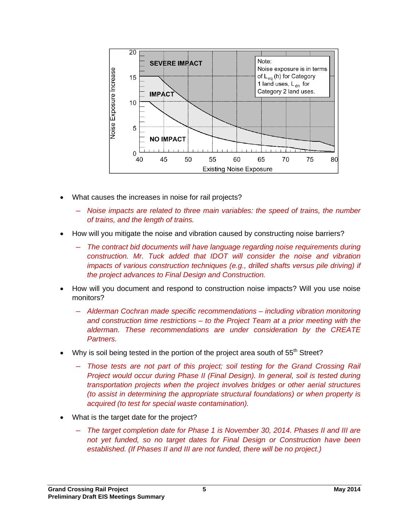

- What causes the increases in noise for rail projects?
	- ― *Noise impacts are related to three main variables: the speed of trains, the number of trains, and the length of trains.*
- How will you mitigate the noise and vibration caused by constructing noise barriers?
	- ― *The contract bid documents will have language regarding noise requirements during construction. Mr. Tuck added that IDOT will consider the noise and vibration impacts of various construction techniques (e.g., drilled shafts versus pile driving) if the project advances to Final Design and Construction.*
- How will you document and respond to construction noise impacts? Will you use noise monitors?
	- ― *Alderman Cochran made specific recommendations including vibration monitoring and construction time restrictions – to the Project Team at a prior meeting with the alderman. These recommendations are under consideration by the CREATE Partners.*
- Why is soil being tested in the portion of the project area south of 55<sup>th</sup> Street?
	- ― *Those tests are not part of this project; soil testing for the Grand Crossing Rail Project would occur during Phase II (Final Design). In general, soil is tested during transportation projects when the project involves bridges or other aerial structures (to assist in determining the appropriate structural foundations) or when property is acquired (to test for special waste contamination).*
- What is the target date for the project?
	- ― *The target completion date for Phase 1 is November 30, 2014. Phases II and III are not yet funded, so no target dates for Final Design or Construction have been established. (If Phases II and III are not funded, there will be no project.)*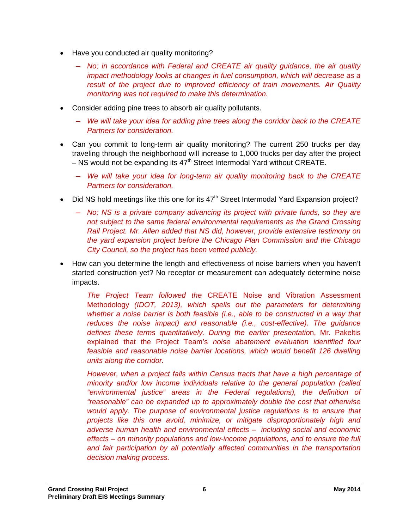- Have you conducted air quality monitoring?
	- ― *No; in accordance with Federal and CREATE air quality guidance, the air quality impact methodology looks at changes in fuel consumption, which will decrease as a result of the project due to improved efficiency of train movements. Air Quality monitoring was not required to make this determination.*
- Consider adding pine trees to absorb air quality pollutants.
	- ― *We will take your idea for adding pine trees along the corridor back to the CREATE Partners for consideration.*
- Can you commit to long-term air quality monitoring? The current 250 trucks per day traveling through the neighborhood will increase to 1,000 trucks per day after the project  $-$  NS would not be expanding its  $47<sup>th</sup>$  Street Intermodal Yard without CREATE.
	- ― *We will take your idea for long-term air quality monitoring back to the CREATE Partners for consideration.*
- Did NS hold meetings like this one for its  $47<sup>th</sup>$  Street Intermodal Yard Expansion project?
	- ― *No; NS is a private company advancing its project with private funds, so they are not subject to the same federal environmental requirements as the Grand Crossing Rail Project. Mr. Allen added that NS did, however, provide extensive testimony on the yard expansion project before the Chicago Plan Commission and the Chicago City Council, so the project has been vetted publicly.*
- How can you determine the length and effectiveness of noise barriers when you haven't started construction yet? No receptor or measurement can adequately determine noise impacts.

*The Project Team followed the* CREATE Noise and Vibration Assessment Methodology *(IDOT, 2013), which spells out the parameters for determining whether a noise barrier is both feasible (i.e., able to be constructed in a way that reduces the noise impact) and reasonable (i.e., cost-effective). The guidance defines these terms quantitatively. During the earlier presentatio*n, Mr. Pakeltis explained that the Project Team's *noise abatement evaluation identified four feasible and reasonable noise barrier locations, which would benefit 126 dwelling units along the corridor.* 

*However, when a project falls within Census tracts that have a high percentage of minority and/or low income individuals relative to the general population (called "environmental justice" areas in the Federal regulations), the definition of "reasonable" can be expanded up to approximately double the cost that otherwise would apply. The purpose of environmental justice regulations is to ensure that projects like this one avoid, minimize, or mitigate disproportionately high and adverse human health and environmental effects – including social and economic effects – on minority populations and low-income populations, and to ensure the full*  and fair participation by all potentially affected communities in the transportation *decision making process.*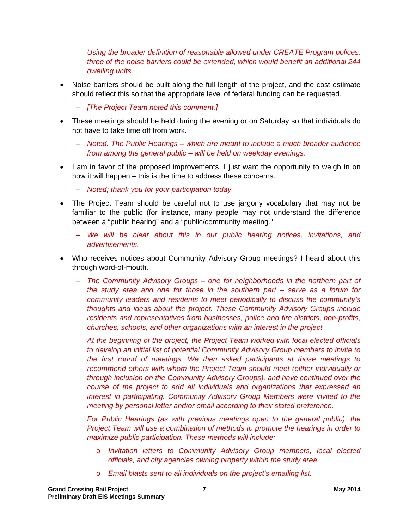*Using the broader definition of reasonable allowed under CREATE Program polices, three of the noise barriers could be extended, which would benefit an additional 244 dwelling units.* 

- Noise barriers should be built along the full length of the project, and the cost estimate should reflect this so that the appropriate level of federal funding can be requested.
	- ― *[The Project Team noted this comment.]*
- These meetings should be held during the evening or on Saturday so that individuals do not have to take time off from work.
	- ― *Noted. The Public Hearings which are meant to include a much broader audience from among the general public – will be held on weekday evenings.*
- I am in favor of the proposed improvements, I just want the opportunity to weigh in on how it will happen – this is the time to address these concerns.
	- ― *Noted; thank you for your participation today.*
- The Project Team should be careful not to use jargony vocabulary that may not be familiar to the public (for instance, many people may not understand the difference between a "public hearing" and a "public/community meeting."
	- ― *We will be clear about this in our public hearing notices, invitations, and advertisements.*
- Who receives notices about Community Advisory Group meetings? I heard about this through word-of-mouth.
	- ― *The Community Advisory Groups one for neighborhoods in the northern part of the study area and one for those in the southern part – serve as a forum for community leaders and residents to meet periodically to discuss the community's thoughts and ideas about the project. These Community Advisory Groups include residents and representatives from businesses, police and fire districts, non-profits, churches, schools, and other organizations with an interest in the project.*

*At the beginning of the project, the Project Team worked with local elected officials to develop an initial list of potential Community Advisory Group members to invite to the first round of meetings. We then asked participants at those meetings to recommend others with whom the Project Team should meet (either individually or through inclusion on the Community Advisory Groups), and have continued over the course of the project to add all individuals and organizations that expressed an interest in participating. Community Advisory Group Members were invited to the meeting by personal letter and/or email according to their stated preference.* 

*For Public Hearings (as with previous meetings open to the general public), the Project Team will use a combination of methods to promote the hearings in order to maximize public participation. These methods will include:* 

- o *Invitation letters to Community Advisory Group members, local elected officials, and city agencies owning property within the study area.*
- o *Email blasts sent to all individuals on the project's emailing list.*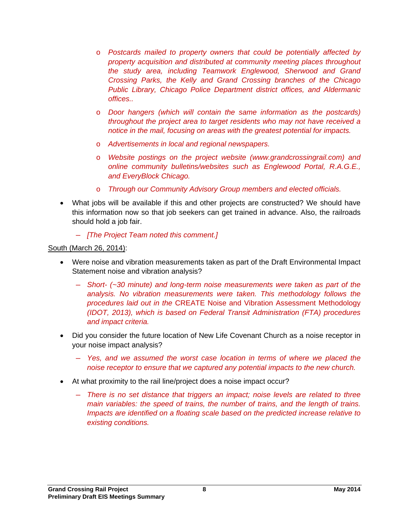- o *Postcards mailed to property owners that could be potentially affected by property acquisition and distributed at community meeting places throughout the study area, including Teamwork Englewood, Sherwood and Grand Crossing Parks, the Kelly and Grand Crossing branches of the Chicago Public Library, Chicago Police Department district offices, and Aldermanic offices..*
- o *Door hangers (which will contain the same information as the postcards) throughout the project area to target residents who may not have received a notice in the mail, focusing on areas with the greatest potential for impacts.*
- o *Advertisements in local and regional newspapers.*
- o *Website postings on the project website (www.grandcrossingrail.com) and online community bulletins/websites such as Englewood Portal, R.A.G.E., and EveryBlock Chicago.*
- o *Through our Community Advisory Group members and elected officials.*
- What jobs will be available if this and other projects are constructed? We should have this information now so that job seekers can get trained in advance. Also, the railroads should hold a job fair.
	- ― *[The Project Team noted this comment.]*

#### South (March 26, 2014):

- Were noise and vibration measurements taken as part of the Draft Environmental Impact Statement noise and vibration analysis?
	- ― *Short- (~30 minute) and long-term noise measurements were taken as part of the analysis. No vibration measurements were taken. This methodology follows the procedures laid out in the* CREATE Noise and Vibration Assessment Methodology *(IDOT, 2013), which is based on Federal Transit Administration (FTA) procedures and impact criteria.*
- Did you consider the future location of New Life Covenant Church as a noise receptor in your noise impact analysis?
	- ― *Yes, and we assumed the worst case location in terms of where we placed the noise receptor to ensure that we captured any potential impacts to the new church.*
- At what proximity to the rail line/project does a noise impact occur?
	- ― *There is no set distance that triggers an impact; noise levels are related to three main variables: the speed of trains, the number of trains, and the length of trains. Impacts are identified on a floating scale based on the predicted increase relative to existing conditions.*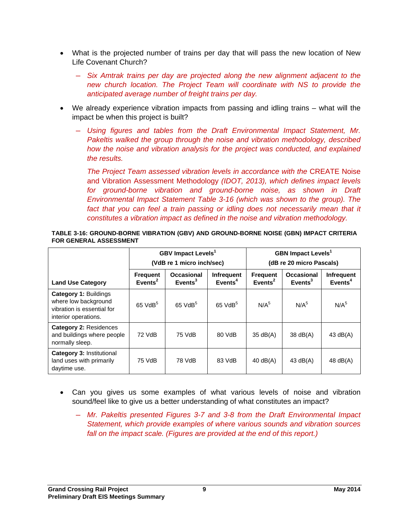- What is the projected number of trains per day that will pass the new location of New Life Covenant Church?
	- ― *Six Amtrak trains per day are projected along the new alignment adjacent to the new church location. The Project Team will coordinate with NS to provide the anticipated average number of freight trains per day.*
- We already experience vibration impacts from passing and idling trains what will the impact be when this project is built?
	- ― *Using figures and tables from the Draft Environmental Impact Statement, Mr. Pakeltis walked the group through the noise and vibration methodology, described how the noise and vibration analysis for the project was conducted, and explained the results.*

*The Project Team assessed vibration levels in accordance with the CREATE Noise* and Vibration Assessment Methodology *(IDOT, 2013), which defines impact levels for ground-borne vibration and ground-borne noise, as shown in Draft Environmental Impact Statement Table 3-16 (which was shown to the group). The*  fact that you can feel a train passing or idling does not necessarily mean that it *constitutes a vibration impact as defined in the noise and vibration methodology.* 

| TABLE 3-16: GROUND-BORNE VIBRATION (GBV) AND GROUND-BORNE NOISE (GBN) IMPACT CRITERIA |  |
|---------------------------------------------------------------------------------------|--|
| <b>FOR GENERAL ASSESSMENT</b>                                                         |  |

|                                                                                                            | <b>GBV Impact Levels<sup>1</sup></b><br>(VdB re 1 micro inch/sec) |                                          |                                          | <b>GBN Impact Levels<sup>1</sup></b><br>(dB re 20 micro Pascals) |                                    |                                  |
|------------------------------------------------------------------------------------------------------------|-------------------------------------------------------------------|------------------------------------------|------------------------------------------|------------------------------------------------------------------|------------------------------------|----------------------------------|
| <b>Land Use Category</b>                                                                                   | <b>Frequent</b><br>Events $2$                                     | <b>Occasional</b><br>Events <sup>3</sup> | <b>Infrequent</b><br>Events <sup>4</sup> | <b>Frequent</b><br>Events <sup>2</sup>                           | <b>Occasional</b><br>$E$ vents $3$ | Infrequent<br>Event <sup>4</sup> |
| <b>Category 1: Buildings</b><br>where low background<br>vibration is essential for<br>interior operations. | $65$ VdB $5$                                                      | $65$ VdB $5$                             | $65$ VdB $5$                             | N/A <sup>5</sup>                                                 | N/A <sup>5</sup>                   | N/A <sup>5</sup>                 |
| <b>Category 2: Residences</b><br>and buildings where people<br>normally sleep.                             | 72 VdB                                                            | 75 VdB                                   | 80 VdB                                   | $35 \text{ dB}(A)$                                               | 38 dB(A)                           | 43 $dB(A)$                       |
| <b>Category 3: Institutional</b><br>land uses with primarily<br>daytime use.                               | 75 VdB                                                            | 78 VdB                                   | 83 VdB                                   | $40$ dB(A)                                                       | 43 $dB(A)$                         | 48 $dB(A)$                       |

- Can you gives us some examples of what various levels of noise and vibration sound/feel like to give us a better understanding of what constitutes an impact?
	- ― *Mr. Pakeltis presented Figures 3-7 and 3-8 from the Draft Environmental Impact Statement, which provide examples of where various sounds and vibration sources*  fall on the impact scale. (Figures are provided at the end of this report.)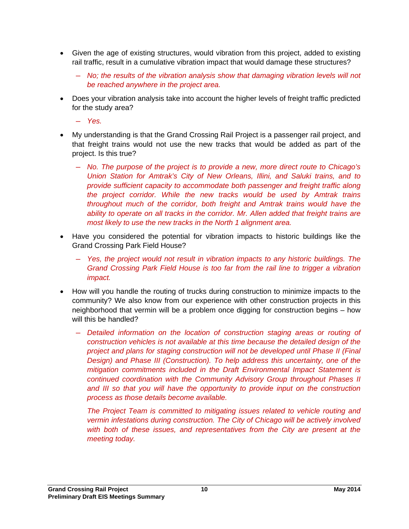- Given the age of existing structures, would vibration from this project, added to existing rail traffic, result in a cumulative vibration impact that would damage these structures?
	- ― *No; the results of the vibration analysis show that damaging vibration levels will not be reached anywhere in the project area.*
- Does your vibration analysis take into account the higher levels of freight traffic predicted for the study area?
	- ― *Yes.*
- My understanding is that the Grand Crossing Rail Project is a passenger rail project, and that freight trains would not use the new tracks that would be added as part of the project. Is this true?
	- ― *No. The purpose of the project is to provide a new, more direct route to Chicago's Union Station for Amtrak's City of New Orleans, Illini, and Saluki trains, and to provide sufficient capacity to accommodate both passenger and freight traffic along the project corridor. While the new tracks would be used by Amtrak trains throughout much of the corridor, both freight and Amtrak trains would have the ability to operate on all tracks in the corridor. Mr. Allen added that freight trains are most likely to use the new tracks in the North 1 alignment area.*
- Have you considered the potential for vibration impacts to historic buildings like the Grand Crossing Park Field House?
	- ― *Yes, the project would not result in vibration impacts to any historic buildings. The Grand Crossing Park Field House is too far from the rail line to trigger a vibration impact.*
- How will you handle the routing of trucks during construction to minimize impacts to the community? We also know from our experience with other construction projects in this neighborhood that vermin will be a problem once digging for construction begins – how will this be handled?
	- ― *Detailed information on the location of construction staging areas or routing of construction vehicles is not available at this time because the detailed design of the project and plans for staging construction will not be developed until Phase II (Final Design) and Phase III (Construction). To help address this uncertainty, one of the mitigation commitments included in the Draft Environmental Impact Statement is continued coordination with the Community Advisory Group throughout Phases II*  and III so that you will have the opportunity to provide input on the construction *process as those details become available.*

*The Project Team is committed to mitigating issues related to vehicle routing and vermin infestations during construction. The City of Chicago will be actively involved with both of these issues, and representatives from the City are present at the meeting today.*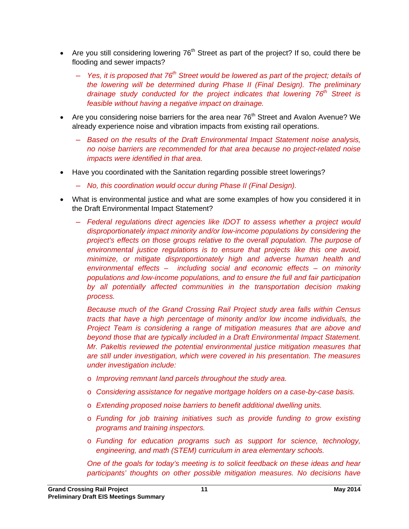- Are you still considering lowering  $76<sup>th</sup>$  Street as part of the project? If so, could there be flooding and sewer impacts?
	- ― *Yes, it is proposed that 76th Street would be lowered as part of the project; details of the lowering will be determined during Phase II (Final Design). The preliminary drainage study conducted for the project indicates that lowering 76<sup>th</sup> Street is feasible without having a negative impact on drainage.*
- Are you considering noise barriers for the area near  $76<sup>th</sup>$  Street and Avalon Avenue? We already experience noise and vibration impacts from existing rail operations.
	- ― *Based on the results of the Draft Environmental Impact Statement noise analysis, no noise barriers are recommended for that area because no project-related noise impacts were identified in that area.*
- Have you coordinated with the Sanitation regarding possible street lowerings?
	- ― *No, this coordination would occur during Phase II (Final Design).*
- What is environmental justice and what are some examples of how you considered it in the Draft Environmental Impact Statement?
	- ― *Federal regulations direct agencies like IDOT to assess whether a project would disproportionately impact minority and/or low-income populations by considering the project's effects on those groups relative to the overall population. The purpose of environmental justice regulations is to ensure that projects like this one avoid, minimize, or mitigate disproportionately high and adverse human health and environmental effects – including social and economic effects – on minority populations and low-income populations, and to ensure the full and fair participation*  by all potentially affected communities in the transportation decision making *process.*

*Because much of the Grand Crossing Rail Project study area falls within Census tracts that have a high percentage of minority and/or low income individuals, the Project Team is considering a range of mitigation measures that are above and beyond those that are typically included in a Draft Environmental Impact Statement. Mr. Pakeltis reviewed the potential environmental justice mitigation measures that are still under investigation, which were covered in his presentation. The measures under investigation include:* 

- o *Improving remnant land parcels throughout the study area.*
- o *Considering assistance for negative mortgage holders on a case-by-case basis.*
- o *Extending proposed noise barriers to benefit additional dwelling units.*
- o *Funding for job training initiatives such as provide funding to grow existing programs and training inspectors.*
- o *Funding for education programs such as support for science, technology, engineering, and math (STEM) curriculum in area elementary schools.*

*One of the goals for today's meeting is to solicit feedback on these ideas and hear participants' thoughts on other possible mitigation measures. No decisions have*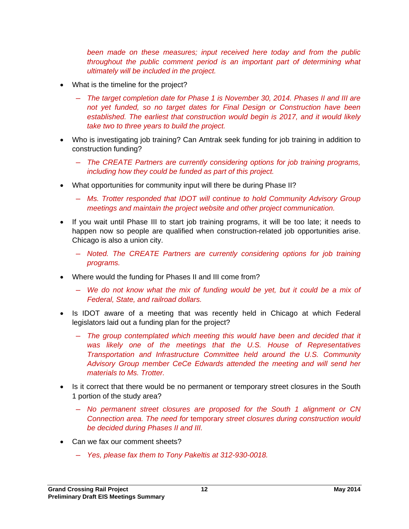*been made on these measures; input received here today and from the public throughout the public comment period is an important part of determining what ultimately will be included in the project.* 

- What is the timeline for the project?
	- ― *The target completion date for Phase 1 is November 30, 2014. Phases II and III are not yet funded, so no target dates for Final Design or Construction have been established. The earliest that construction would begin is 2017, and it would likely take two to three years to build the project.*
- Who is investigating job training? Can Amtrak seek funding for job training in addition to construction funding?
	- ― *The CREATE Partners are currently considering options for job training programs, including how they could be funded as part of this project.*
- What opportunities for community input will there be during Phase II?
	- ― *Ms. Trotter responded that IDOT will continue to hold Community Advisory Group meetings and maintain the project website and other project communication.*
- If you wait until Phase III to start job training programs, it will be too late; it needs to happen now so people are qualified when construction-related job opportunities arise. Chicago is also a union city.
	- ― *Noted. The CREATE Partners are currently considering options for job training programs.*
- Where would the funding for Phases II and III come from?
	- ― *We do not know what the mix of funding would be yet, but it could be a mix of Federal, State, and railroad dollars.*
- Is IDOT aware of a meeting that was recently held in Chicago at which Federal legislators laid out a funding plan for the project?
	- ― *The group contemplated which meeting this would have been and decided that it was likely one of the meetings that the U.S. House of Representatives Transportation and Infrastructure Committee held around the U.S. Community Advisory Group member CeCe Edwards attended the meeting and will send her materials to Ms. Trotter.*
- Is it correct that there would be no permanent or temporary street closures in the South 1 portion of the study area?
	- ― *No permanent street closures are proposed for the South 1 alignment or CN Connection area. The need for* temporary *street closures during construction would be decided during Phases II and III.*
- Can we fax our comment sheets?
	- ― *Yes, please fax them to Tony Pakeltis at 312-930-0018.*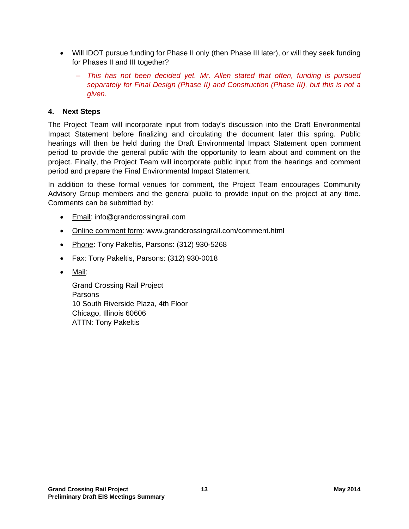- Will IDOT pursue funding for Phase II only (then Phase III later), or will they seek funding for Phases II and III together?
	- ― *This has not been decided yet. Mr. Allen stated that often, funding is pursued separately for Final Design (Phase II) and Construction (Phase III), but this is not a given.*

## **4. Next Steps**

The Project Team will incorporate input from today's discussion into the Draft Environmental Impact Statement before finalizing and circulating the document later this spring. Public hearings will then be held during the Draft Environmental Impact Statement open comment period to provide the general public with the opportunity to learn about and comment on the project. Finally, the Project Team will incorporate public input from the hearings and comment period and prepare the Final Environmental Impact Statement.

In addition to these formal venues for comment, the Project Team encourages Community Advisory Group members and the general public to provide input on the project at any time. Comments can be submitted by:

- **Email: info@grandcrossingrail.com**
- Online comment form: www.grandcrossingrail.com/comment.html
- Phone: Tony Pakeltis, Parsons: (312) 930-5268
- Fax: Tony Pakeltis, Parsons: (312) 930-0018
- Mail:

Grand Crossing Rail Project Parsons 10 South Riverside Plaza, 4th Floor Chicago, Illinois 60606 ATTN: Tony Pakeltis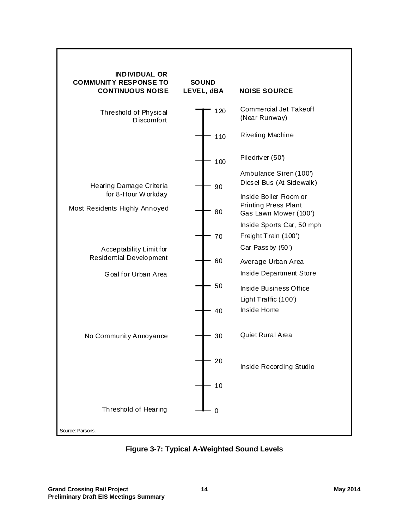

**Figure 3-7: Typical A-Weighted Sound Levels**